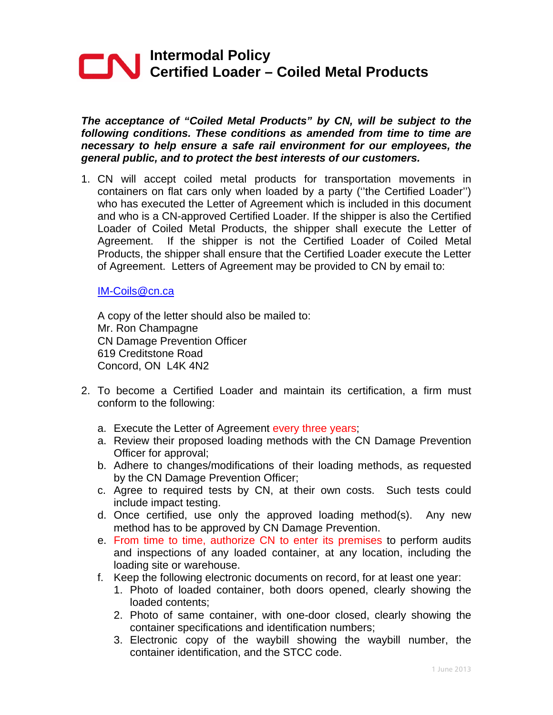# **Intermodal Policy Certified Loader – Coiled Metal Products**

*The acceptance of "Coiled Metal Products" by CN, will be subject to the following conditions. These conditions as amended from time to time are necessary to help ensure a safe rail environment for our employees, the general public, and to protect the best interests of our customers.*

1. CN will accept coiled metal products for transportation movements in containers on flat cars only when loaded by a party (''the Certified Loader'') who has executed the Letter of Agreement which is included in this document and who is a CN-approved Certified Loader. If the shipper is also the Certified Loader of Coiled Metal Products, the shipper shall execute the Letter of Agreement. If the shipper is not the Certified Loader of Coiled Metal Products, the shipper shall ensure that the Certified Loader execute the Letter of Agreement. Letters of Agreement may be provided to CN by email to:

#### IM-Coils@cn.ca

A copy of the letter should also be mailed to: Mr. Ron Champagne CN Damage Prevention Officer 619 Creditstone Road Concord, ON L4K 4N2

- 2. To become a Certified Loader and maintain its certification, a firm must conform to the following:
	- a. Execute the Letter of Agreement every three years;
	- a. Review their proposed loading methods with the CN Damage Prevention Officer for approval;
	- b. Adhere to changes/modifications of their loading methods, as requested by the CN Damage Prevention Officer;
	- c. Agree to required tests by CN, at their own costs. Such tests could include impact testing.
	- d. Once certified, use only the approved loading method(s). Any new method has to be approved by CN Damage Prevention.
	- e. From time to time, authorize CN to enter its premises to perform audits and inspections of any loaded container, at any location, including the loading site or warehouse.
	- f. Keep the following electronic documents on record, for at least one year:
		- 1. Photo of loaded container, both doors opened, clearly showing the loaded contents;
		- 2. Photo of same container, with one-door closed, clearly showing the container specifications and identification numbers;
		- 3. Electronic copy of the waybill showing the waybill number, the container identification, and the STCC code.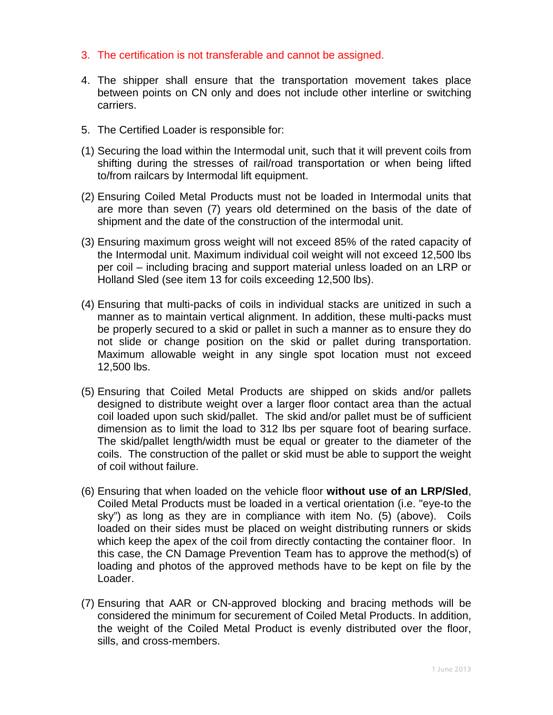- 3. The certification is not transferable and cannot be assigned.
- 4. The shipper shall ensure that the transportation movement takes place between points on CN only and does not include other interline or switching carriers.
- 5. The Certified Loader is responsible for:
- (1) Securing the load within the Intermodal unit, such that it will prevent coils from shifting during the stresses of rail/road transportation or when being lifted to/from railcars by Intermodal lift equipment.
- (2) Ensuring Coiled Metal Products must not be loaded in Intermodal units that are more than seven (7) years old determined on the basis of the date of shipment and the date of the construction of the intermodal unit.
- (3) Ensuring maximum gross weight will not exceed 85% of the rated capacity of the Intermodal unit. Maximum individual coil weight will not exceed 12,500 lbs per coil – including bracing and support material unless loaded on an LRP or Holland Sled (see item 13 for coils exceeding 12,500 lbs).
- (4) Ensuring that multi-packs of coils in individual stacks are unitized in such a manner as to maintain vertical alignment. In addition, these multi-packs must be properly secured to a skid or pallet in such a manner as to ensure they do not slide or change position on the skid or pallet during transportation. Maximum allowable weight in any single spot location must not exceed 12,500 lbs.
- (5) Ensuring that Coiled Metal Products are shipped on skids and/or pallets designed to distribute weight over a larger floor contact area than the actual coil loaded upon such skid/pallet. The skid and/or pallet must be of sufficient dimension as to limit the load to 312 lbs per square foot of bearing surface. The skid/pallet length/width must be equal or greater to the diameter of the coils. The construction of the pallet or skid must be able to support the weight of coil without failure.
- (6) Ensuring that when loaded on the vehicle floor **without use of an LRP/Sled**, Coiled Metal Products must be loaded in a vertical orientation (i.e. "eye-to the sky") as long as they are in compliance with item No. (5) (above). Coils loaded on their sides must be placed on weight distributing runners or skids which keep the apex of the coil from directly contacting the container floor. In this case, the CN Damage Prevention Team has to approve the method(s) of loading and photos of the approved methods have to be kept on file by the Loader.
- (7) Ensuring that AAR or CN-approved blocking and bracing methods will be considered the minimum for securement of Coiled Metal Products. In addition, the weight of the Coiled Metal Product is evenly distributed over the floor, sills, and cross-members.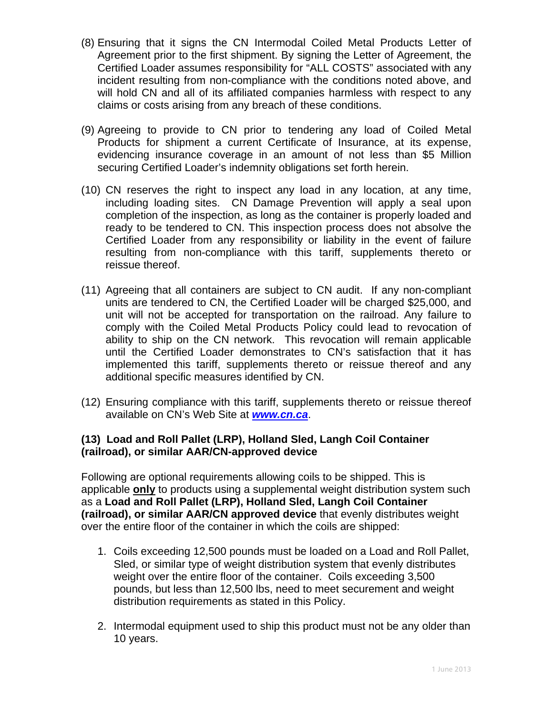- (8) Ensuring that it signs the CN Intermodal Coiled Metal Products Letter of Agreement prior to the first shipment. By signing the Letter of Agreement, the Certified Loader assumes responsibility for "ALL COSTS" associated with any incident resulting from non-compliance with the conditions noted above, and will hold CN and all of its affiliated companies harmless with respect to any claims or costs arising from any breach of these conditions.
- (9) Agreeing to provide to CN prior to tendering any load of Coiled Metal Products for shipment a current Certificate of Insurance, at its expense, evidencing insurance coverage in an amount of not less than \$5 Million securing Certified Loader's indemnity obligations set forth herein.
- (10) CN reserves the right to inspect any load in any location, at any time, including loading sites. CN Damage Prevention will apply a seal upon completion of the inspection, as long as the container is properly loaded and ready to be tendered to CN. This inspection process does not absolve the Certified Loader from any responsibility or liability in the event of failure resulting from non-compliance with this tariff, supplements thereto or reissue thereof.
- (11) Agreeing that all containers are subject to CN audit. If any non-compliant units are tendered to CN, the Certified Loader will be charged \$25,000, and unit will not be accepted for transportation on the railroad. Any failure to comply with the Coiled Metal Products Policy could lead to revocation of ability to ship on the CN network. This revocation will remain applicable until the Certified Loader demonstrates to CN's satisfaction that it has implemented this tariff, supplements thereto or reissue thereof and any additional specific measures identified by CN.
- (12) Ensuring compliance with this tariff, supplements thereto or reissue thereof available on CN's Web Site at *www.cn.ca*.

## **(13) Load and Roll Pallet (LRP), Holland Sled, Langh Coil Container (railroad), or similar AAR/CN-approved device**

Following are optional requirements allowing coils to be shipped. This is applicable **only** to products using a supplemental weight distribution system such as a **Load and Roll Pallet (LRP), Holland Sled, Langh Coil Container (railroad), or similar AAR/CN approved device** that evenly distributes weight over the entire floor of the container in which the coils are shipped:

- 1. Coils exceeding 12,500 pounds must be loaded on a Load and Roll Pallet, Sled, or similar type of weight distribution system that evenly distributes weight over the entire floor of the container. Coils exceeding 3,500 pounds, but less than 12,500 lbs, need to meet securement and weight distribution requirements as stated in this Policy.
- 2. Intermodal equipment used to ship this product must not be any older than 10 years.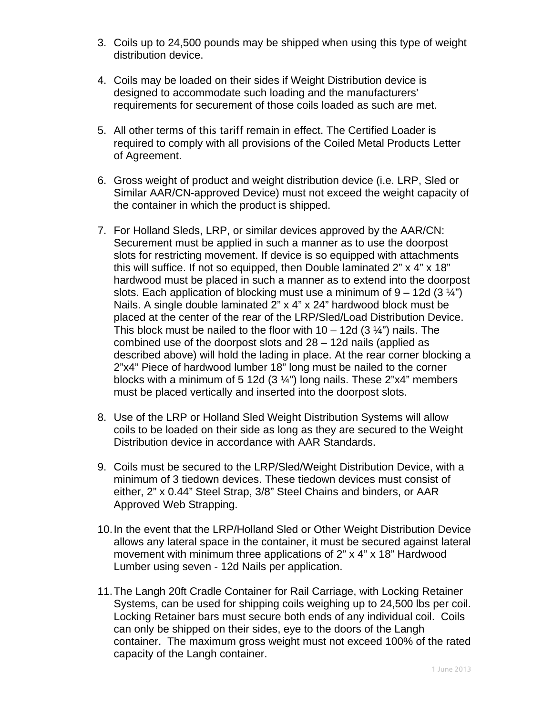- 3. Coils up to 24,500 pounds may be shipped when using this type of weight distribution device.
- 4. Coils may be loaded on their sides if Weight Distribution device is designed to accommodate such loading and the manufacturers' requirements for securement of those coils loaded as such are met.
- 5. All other terms of this tariff remain in effect. The Certified Loader is required to comply with all provisions of the Coiled Metal Products Letter of Agreement.
- 6. Gross weight of product and weight distribution device (i.e. LRP, Sled or Similar AAR/CN-approved Device) must not exceed the weight capacity of the container in which the product is shipped.
- 7. For Holland Sleds, LRP, or similar devices approved by the AAR/CN: Securement must be applied in such a manner as to use the doorpost slots for restricting movement. If device is so equipped with attachments this will suffice. If not so equipped, then Double laminated 2" x 4" x 18" hardwood must be placed in such a manner as to extend into the doorpost slots. Each application of blocking must use a minimum of  $9 - 12d (3 \frac{1}{4})$ Nails. A single double laminated 2" x 4" x 24" hardwood block must be placed at the center of the rear of the LRP/Sled/Load Distribution Device. This block must be nailed to the floor with  $10 - 12d (3  $\frac{1}{4}$ )$  nails. The combined use of the doorpost slots and 28 – 12d nails (applied as described above) will hold the lading in place. At the rear corner blocking a 2"x4" Piece of hardwood lumber 18" long must be nailed to the corner blocks with a minimum of 5 12d  $(3\frac{1}{4})$  long nails. These 2"x4" members must be placed vertically and inserted into the doorpost slots.
- 8. Use of the LRP or Holland Sled Weight Distribution Systems will allow coils to be loaded on their side as long as they are secured to the Weight Distribution device in accordance with AAR Standards.
- 9. Coils must be secured to the LRP/Sled/Weight Distribution Device, with a minimum of 3 tiedown devices. These tiedown devices must consist of either, 2" x 0.44" Steel Strap, 3/8" Steel Chains and binders, or AAR Approved Web Strapping.
- 10. In the event that the LRP/Holland Sled or Other Weight Distribution Device allows any lateral space in the container, it must be secured against lateral movement with minimum three applications of 2" x 4" x 18" Hardwood Lumber using seven - 12d Nails per application.
- 11. The Langh 20ft Cradle Container for Rail Carriage, with Locking Retainer Systems, can be used for shipping coils weighing up to 24,500 lbs per coil. Locking Retainer bars must secure both ends of any individual coil. Coils can only be shipped on their sides, eye to the doors of the Langh container. The maximum gross weight must not exceed 100% of the rated capacity of the Langh container.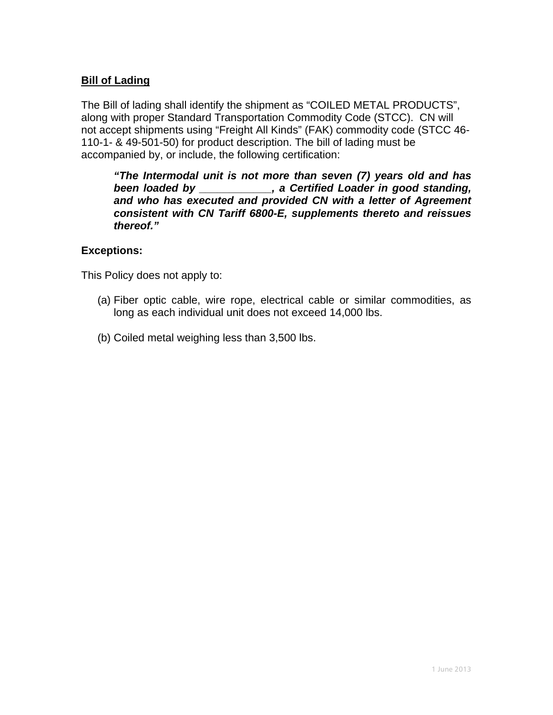### **Bill of Lading**

The Bill of lading shall identify the shipment as "COILED METAL PRODUCTS", along with proper Standard Transportation Commodity Code (STCC). CN will not accept shipments using "Freight All Kinds" (FAK) commodity code (STCC 46- 110-1- & 49-501-50) for product description. The bill of lading must be accompanied by, or include, the following certification:

*"The Intermodal unit is not more than seven (7) years old and has been loaded by \_\_\_\_\_\_\_\_\_\_\_\_, a Certified Loader in good standing, and who has executed and provided CN with a letter of Agreement consistent with CN Tariff 6800-E, supplements thereto and reissues thereof."* 

### **Exceptions:**

This Policy does not apply to:

- (a) Fiber optic cable, wire rope, electrical cable or similar commodities, as long as each individual unit does not exceed 14,000 lbs.
- (b) Coiled metal weighing less than 3,500 lbs.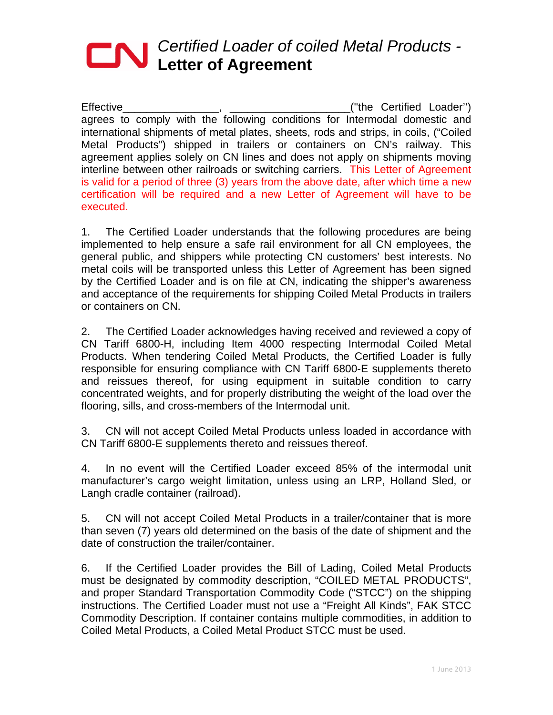# *Certified Loader of coiled Metal Products -*  **Letter of Agreement**

Effective\_\_\_\_\_\_\_\_\_\_\_\_\_\_\_\_, \_\_\_\_\_\_\_\_\_\_\_\_\_\_\_\_\_\_\_\_(''the Certified Loader'') agrees to comply with the following conditions for Intermodal domestic and international shipments of metal plates, sheets, rods and strips, in coils, ("Coiled Metal Products") shipped in trailers or containers on CN's railway. This agreement applies solely on CN lines and does not apply on shipments moving interline between other railroads or switching carriers. This Letter of Agreement is valid for a period of three (3) years from the above date, after which time a new certification will be required and a new Letter of Agreement will have to be executed.

1. The Certified Loader understands that the following procedures are being implemented to help ensure a safe rail environment for all CN employees, the general public, and shippers while protecting CN customers' best interests. No metal coils will be transported unless this Letter of Agreement has been signed by the Certified Loader and is on file at CN, indicating the shipper's awareness and acceptance of the requirements for shipping Coiled Metal Products in trailers or containers on CN.

2. The Certified Loader acknowledges having received and reviewed a copy of CN Tariff 6800-H, including Item 4000 respecting Intermodal Coiled Metal Products. When tendering Coiled Metal Products, the Certified Loader is fully responsible for ensuring compliance with CN Tariff 6800-E supplements thereto and reissues thereof, for using equipment in suitable condition to carry concentrated weights, and for properly distributing the weight of the load over the flooring, sills, and cross-members of the Intermodal unit.

3. CN will not accept Coiled Metal Products unless loaded in accordance with CN Tariff 6800-E supplements thereto and reissues thereof.

4. In no event will the Certified Loader exceed 85% of the intermodal unit manufacturer's cargo weight limitation, unless using an LRP, Holland Sled, or Langh cradle container (railroad).

5. CN will not accept Coiled Metal Products in a trailer/container that is more than seven (7) years old determined on the basis of the date of shipment and the date of construction the trailer/container.

6. If the Certified Loader provides the Bill of Lading, Coiled Metal Products must be designated by commodity description, "COILED METAL PRODUCTS", and proper Standard Transportation Commodity Code ("STCC") on the shipping instructions. The Certified Loader must not use a "Freight All Kinds", FAK STCC Commodity Description. If container contains multiple commodities, in addition to Coiled Metal Products, a Coiled Metal Product STCC must be used.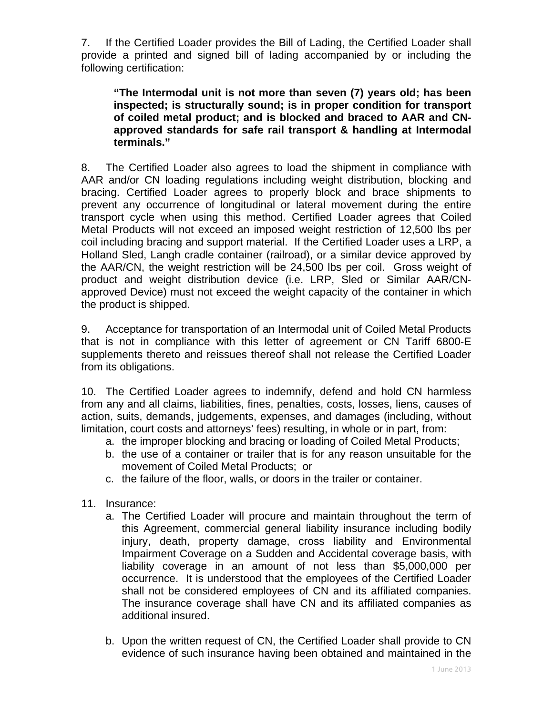7. If the Certified Loader provides the Bill of Lading, the Certified Loader shall provide a printed and signed bill of lading accompanied by or including the following certification:

**"The Intermodal unit is not more than seven (7) years old; has been inspected; is structurally sound; is in proper condition for transport of coiled metal product; and is blocked and braced to AAR and CNapproved standards for safe rail transport & handling at Intermodal terminals."**

8. The Certified Loader also agrees to load the shipment in compliance with AAR and/or CN loading regulations including weight distribution, blocking and bracing. Certified Loader agrees to properly block and brace shipments to prevent any occurrence of longitudinal or lateral movement during the entire transport cycle when using this method. Certified Loader agrees that Coiled Metal Products will not exceed an imposed weight restriction of 12,500 lbs per coil including bracing and support material. If the Certified Loader uses a LRP, a Holland Sled, Langh cradle container (railroad), or a similar device approved by the AAR/CN, the weight restriction will be 24,500 lbs per coil. Gross weight of product and weight distribution device (i.e. LRP, Sled or Similar AAR/CNapproved Device) must not exceed the weight capacity of the container in which the product is shipped.

9. Acceptance for transportation of an Intermodal unit of Coiled Metal Products that is not in compliance with this letter of agreement or CN Tariff 6800-E supplements thereto and reissues thereof shall not release the Certified Loader from its obligations.

10. The Certified Loader agrees to indemnify, defend and hold CN harmless from any and all claims, liabilities, fines, penalties, costs, losses, liens, causes of action, suits, demands, judgements, expenses, and damages (including, without limitation, court costs and attorneys' fees) resulting, in whole or in part, from:

- a. the improper blocking and bracing or loading of Coiled Metal Products;
- b. the use of a container or trailer that is for any reason unsuitable for the movement of Coiled Metal Products; or
- c. the failure of the floor, walls, or doors in the trailer or container.
- 11. Insurance:
	- a. The Certified Loader will procure and maintain throughout the term of this Agreement, commercial general liability insurance including bodily injury, death, property damage, cross liability and Environmental Impairment Coverage on a Sudden and Accidental coverage basis, with liability coverage in an amount of not less than \$5,000,000 per occurrence. It is understood that the employees of the Certified Loader shall not be considered employees of CN and its affiliated companies. The insurance coverage shall have CN and its affiliated companies as additional insured.
	- b. Upon the written request of CN, the Certified Loader shall provide to CN evidence of such insurance having been obtained and maintained in the